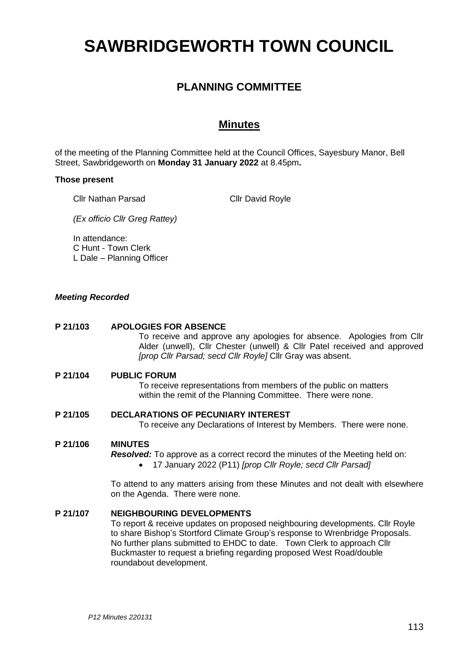# **SAWBRIDGEWORTH TOWN COUNCIL**

# **PLANNING COMMITTEE**

# **Minutes**

of the meeting of the Planning Committee held at the Council Offices, Sayesbury Manor, Bell Street, Sawbridgeworth on **Monday 31 January 2022** at 8.45pm**.**

#### **Those present**

Cllr Nathan Parsad

Cllr David Royle

*(Ex officio Cllr Greg Rattey)*

In attendance: C Hunt - Town Clerk L Dale – Planning Officer

# *Meeting Recorded*

#### **P 21/103 APOLOGIES FOR ABSENCE**

To receive and approve any apologies for absence. Apologies from Cllr Alder (unwell), Cllr Chester (unwell) & Cllr Patel received and approved *[prop Cllr Parsad; secd Cllr Royle]* Cllr Gray was absent.

# **P 21/104 PUBLIC FORUM**

To receive representations from members of the public on matters within the remit of the Planning Committee. There were none.

# **P 21/105 DECLARATIONS OF PECUNIARY INTEREST**

To receive any Declarations of Interest by Members. There were none.

# **P 21/106 MINUTES**

*Resolved:* To approve as a correct record the minutes of the Meeting held on:

• 17 January 2022 (P11) *[prop Cllr Royle; secd Cllr Parsad]*

To attend to any matters arising from these Minutes and not dealt with elsewhere on the Agenda. There were none.

#### **P 21/107 NEIGHBOURING DEVELOPMENTS**

To report & receive updates on proposed neighbouring developments. Cllr Royle to share Bishop's Stortford Climate Group's response to Wrenbridge Proposals. No further plans submitted to EHDC to date. Town Clerk to approach Cllr Buckmaster to request a briefing regarding proposed West Road/double roundabout development.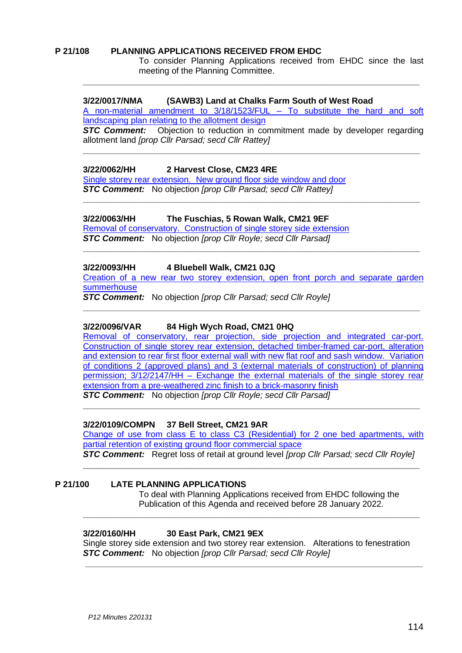#### **P 21/108 PLANNING APPLICATIONS RECEIVED FROM EHDC**

To consider Planning Applications received from EHDC since the last meeting of the Planning Committee.

#### **3/22/0017/NMA (SAWB3) Land at Chalks Farm South of West Road**

A non-material amendment to 3/18/1523/FUL – [To substitute the hard and soft](https://publicaccess.eastherts.gov.uk/online-applications/applicationDetails.do?activeTab=documents&keyVal=R5A2RDGL00X00)  [landscaping plan relating to the allotment design](https://publicaccess.eastherts.gov.uk/online-applications/applicationDetails.do?activeTab=documents&keyVal=R5A2RDGL00X00)

**\_\_\_\_\_\_\_\_\_\_\_\_\_\_\_\_\_\_\_\_\_\_\_\_\_\_\_\_\_\_\_\_\_\_\_\_\_\_\_\_\_\_\_\_\_\_\_\_\_\_\_\_\_\_\_\_\_\_\_\_\_\_\_\_\_**

**STC Comment:** Objection to reduction in commitment made by developer regarding allotment land *[prop Cllr Parsad; secd Cllr Rattey]*

**\_\_\_\_\_\_\_\_\_\_\_\_\_\_\_\_\_\_\_\_\_\_\_\_\_\_\_\_\_\_\_\_\_\_\_\_\_\_\_\_\_\_\_\_\_\_\_\_\_\_\_\_\_\_\_\_\_\_\_\_\_\_\_\_\_\_\_\_\_\_\_**

**\_\_\_\_\_\_\_\_\_\_\_\_\_\_\_\_\_\_\_\_\_\_\_\_\_\_\_\_\_\_\_\_\_\_\_\_\_\_\_\_\_\_\_\_\_\_\_\_\_\_\_\_\_\_\_\_\_\_\_\_\_\_\_\_\_\_\_\_\_\_\_**

#### **3/22/0062/HH 2 Harvest Close, CM23 4RE**

[Single storey rear extension. New ground floor side window and door](https://publicaccess.eastherts.gov.uk/online-applications/applicationDetails.do?activeTab=documents&keyVal=R5N2DLGLIXV00) *STC Comment:* No objection *[prop Cllr Parsad; secd Cllr Rattey]*

#### **3/22/0063/HH The Fuschias, 5 Rowan Walk, CM21 9EF**

[Removal of conservatory. Construction of single storey side extension](https://publicaccess.eastherts.gov.uk/online-applications/applicationDetails.do?activeTab=documents&keyVal=R5N2DTGLIXX00) *STC Comment:* No objection *[prop Cllr Royle; secd Cllr Parsad]*

#### **3/22/0093/HH 4 Bluebell Walk, CM21 0JQ**

[Creation of a new rear two storey extension, open front porch and separate garden](https://publicaccess.eastherts.gov.uk/online-applications/applicationDetails.do?activeTab=documents&keyVal=R5US3CGLJ0100)  [summerhouse](https://publicaccess.eastherts.gov.uk/online-applications/applicationDetails.do?activeTab=documents&keyVal=R5US3CGLJ0100)

**\_\_\_\_\_\_\_\_\_\_\_\_\_\_\_\_\_\_\_\_\_\_\_\_\_\_\_\_\_\_\_\_\_\_\_\_\_\_\_\_\_\_\_\_\_\_\_\_\_\_\_\_\_\_\_\_\_\_\_\_\_\_\_\_\_\_\_\_\_\_\_**

**\_\_\_\_\_\_\_\_\_\_\_\_\_\_\_\_\_\_\_\_\_\_\_\_\_\_\_\_\_\_\_\_\_\_\_\_\_\_\_\_\_\_\_\_\_\_\_\_\_\_\_\_\_\_\_\_\_\_\_\_\_\_\_\_\_\_\_\_\_\_\_**

*STC Comment:* No objection *[prop Cllr Parsad; secd Cllr Royle]*

#### **3/22/0096/VAR 84 High Wych Road, CM21 0HQ**

[Removal of conservatory, rear projection, side projection and integrated car-port.](https://publicaccess.eastherts.gov.uk/online-applications/applicationDetails.do?activeTab=documents&keyVal=R5WBMUGLJ0D00)  Construction of single storey rear [extension, detached timber-framed car-port, alteration](https://publicaccess.eastherts.gov.uk/online-applications/applicationDetails.do?activeTab=documents&keyVal=R5WBMUGLJ0D00)  and [extension to rear first floor external wall with new flat roof and sash window. Variation](https://publicaccess.eastherts.gov.uk/online-applications/applicationDetails.do?activeTab=documents&keyVal=R5WBMUGLJ0D00)  [of conditions 2 \(approved plans\) and 3 \(external materials of construction\) of planning](https://publicaccess.eastherts.gov.uk/online-applications/applicationDetails.do?activeTab=documents&keyVal=R5WBMUGLJ0D00)  permission; 3/12/2147/HH – [Exchange the external materials of the single storey rear](https://publicaccess.eastherts.gov.uk/online-applications/applicationDetails.do?activeTab=documents&keyVal=R5WBMUGLJ0D00)  [extension from a pre-weathered zinc finish to a brick-masonry finish](https://publicaccess.eastherts.gov.uk/online-applications/applicationDetails.do?activeTab=documents&keyVal=R5WBMUGLJ0D00) *STC Comment:* No objection *[prop Cllr Royle; secd Cllr Parsad]*

**\_\_\_\_\_\_\_\_\_\_\_\_\_\_\_\_\_\_\_\_\_\_\_\_\_\_\_\_\_\_\_\_\_\_\_\_\_\_\_\_\_\_\_\_\_\_\_\_\_\_\_\_\_\_\_\_\_\_\_\_\_\_\_\_\_\_\_\_\_\_\_**

#### **3/22/0109/COMPN 37 Bell Street, CM21 9AR**

[Change of use from class E to class C3 \(Residential\) for 2 one bed apartments, with](https://publicaccess.eastherts.gov.uk/online-applications/applicationDetails.do?activeTab=documents&keyVal=R5YFMHGL00X00)  [partial retention of existing ground floor commercial](https://publicaccess.eastherts.gov.uk/online-applications/applicationDetails.do?activeTab=documents&keyVal=R5YFMHGL00X00) space *STC Comment:* Regret loss of retail at ground level *[prop Cllr Parsad; secd Cllr Royle]*

**\_\_\_\_\_\_\_\_\_\_\_\_\_\_\_\_\_\_\_\_\_\_\_\_\_\_\_\_\_\_\_\_\_\_\_\_\_\_\_\_\_\_\_\_\_\_\_\_\_\_\_\_\_\_\_\_\_\_\_\_\_\_\_\_\_**

**\_\_\_\_\_\_\_\_\_\_\_\_\_\_\_\_\_\_\_\_\_\_\_\_\_\_\_\_\_\_\_\_\_\_\_\_\_\_\_\_\_\_\_\_\_\_\_\_\_\_\_\_\_\_\_\_\_\_\_\_\_\_\_\_\_\_\_\_\_\_\_**

#### **P 21/100 LATE PLANNING APPLICATIONS**

To deal with Planning Applications received from EHDC following the Publication of this Agenda and received before 28 January 2022.

#### **3/22/0160/HH 30 East Park, CM21 9EX**

Single storey side extension and two storey rear extension. Alterations to fenestration *STC Comment:* No objection *[prop Cllr Parsad; secd Cllr Royle]*

**\_\_\_\_\_\_\_\_\_\_\_\_\_\_\_\_\_\_\_\_\_\_\_\_\_\_\_\_\_\_\_\_\_\_\_\_\_\_\_\_\_\_\_\_\_\_\_\_\_\_\_\_\_\_\_\_\_\_\_\_\_\_\_\_\_\_\_\_\_\_\_**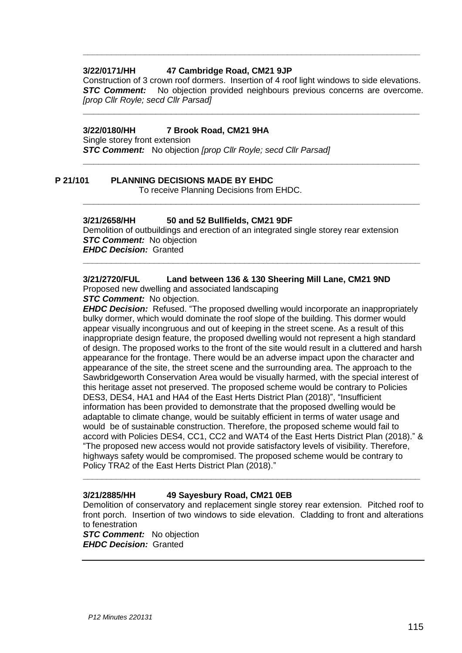# **3/22/0171/HH 47 Cambridge Road, CM21 9JP**

Construction of 3 crown roof dormers. Insertion of 4 roof light windows to side elevations. **STC Comment:** No objection provided neighbours previous concerns are overcome. *[prop Cllr Royle; secd Cllr Parsad]*

**\_\_\_\_\_\_\_\_\_\_\_\_\_\_\_\_\_\_\_\_\_\_\_\_\_\_\_\_\_\_\_\_\_\_\_\_\_\_\_\_\_\_\_\_\_\_\_\_\_\_\_\_\_\_\_\_\_\_\_\_\_\_\_\_\_**

**\_\_\_\_\_\_\_\_\_\_\_\_\_\_\_\_\_\_\_\_\_\_\_\_\_\_\_\_\_\_\_\_\_\_\_\_\_\_\_\_\_\_\_\_\_\_\_\_\_\_\_\_\_\_\_\_\_\_\_\_\_\_\_\_\_**

**\_\_\_\_\_\_\_\_\_\_\_\_\_\_\_\_\_\_\_\_\_\_\_\_\_\_\_\_\_\_\_\_\_\_\_\_\_\_\_\_\_\_\_\_\_\_\_\_\_\_\_\_\_\_\_\_\_\_\_\_\_\_\_\_\_**

**\_\_\_\_\_\_\_\_\_\_\_\_\_\_\_\_\_\_\_\_\_\_\_\_\_\_\_\_\_\_\_\_\_\_\_\_\_\_\_\_\_\_\_\_\_\_\_\_\_\_\_\_\_\_\_\_\_\_\_\_\_\_\_\_\_\_\_\_\_\_\_**

**\_\_\_\_\_\_\_\_\_\_\_\_\_\_\_\_\_\_\_\_\_\_\_\_\_\_\_\_\_\_\_\_\_\_\_\_\_\_\_\_\_\_\_\_\_\_\_\_\_\_\_\_\_\_\_\_\_\_\_\_\_\_\_\_\_\_\_\_\_\_\_**

#### **3/22/0180/HH 7 Brook Road, CM21 9HA**

Single storey front extension *STC Comment:* No objection *[prop Cllr Royle; secd Cllr Parsad]*

# **P 21/101 PLANNING DECISIONS MADE BY EHDC**

To receive Planning Decisions from EHDC.

#### **3/21/2658/HH 50 and 52 Bullfields, CM21 9DF**

Demolition of outbuildings and erection of an integrated single storey rear extension *STC Comment:* No objection *EHDC Decision:* Granted

# **3/21/2720/FUL Land between 136 & 130 Sheering Mill Lane, CM21 9ND**

Proposed new dwelling and associated landscaping

*STC Comment:* No objection.

*EHDC Decision:* Refused. "The proposed dwelling would incorporate an inappropriately bulky dormer, which would dominate the roof slope of the building. This dormer would appear visually incongruous and out of keeping in the street scene. As a result of this inappropriate design feature, the proposed dwelling would not represent a high standard of design. The proposed works to the front of the site would result in a cluttered and harsh appearance for the frontage. There would be an adverse impact upon the character and appearance of the site, the street scene and the surrounding area. The approach to the Sawbridgeworth Conservation Area would be visually harmed, with the special interest of this heritage asset not preserved. The proposed scheme would be contrary to Policies DES3, DES4, HA1 and HA4 of the East Herts District Plan (2018)", "Insufficient information has been provided to demonstrate that the proposed dwelling would be adaptable to climate change, would be suitably efficient in terms of water usage and would be of sustainable construction. Therefore, the proposed scheme would fail to accord with Policies DES4, CC1, CC2 and WAT4 of the East Herts District Plan (2018)." & "The proposed new access would not provide satisfactory levels of visibility. Therefore, highways safety would be compromised. The proposed scheme would be contrary to Policy TRA2 of the East Herts District Plan (2018)."

# **3/21/2885/HH 49 Sayesbury Road, CM21 0EB**

Demolition of conservatory and replacement single storey rear extension. Pitched roof to front porch. Insertion of two windows to side elevation. Cladding to front and alterations to fenestration

**\_\_\_\_\_\_\_\_\_\_\_\_\_\_\_\_\_\_\_\_\_\_\_\_\_\_\_\_\_\_\_\_\_\_\_\_\_\_\_\_\_\_\_\_\_\_\_\_\_\_\_\_\_\_\_\_\_\_\_\_\_\_\_\_\_\_\_\_\_\_\_**

*STC Comment:* No objection *EHDC Decision:* Granted